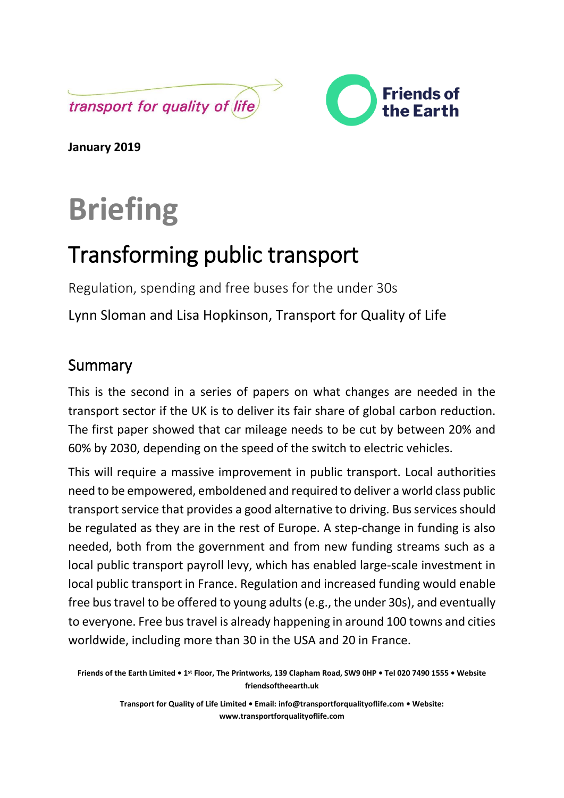



**January 2019**

# **Briefing**

# Transforming public transport

Regulation, spending and free buses for the under 30s

Lynn Sloman and Lisa Hopkinson, Transport for Quality of Life

# Summary

This is the second in a series of papers on what changes are needed in the transport sector if the UK is to deliver its fair share of global carbon reduction. The first paper showed that car mileage needs to be cut by between 20% and 60% by 2030, depending on the speed of the switch to electric vehicles.

This will require a massive improvement in public transport. Local authorities need to be empowered, emboldened and required to deliver a world class public transport service that provides a good alternative to driving. Bus services should be regulated as they are in the rest of Europe. A step-change in funding is also needed, both from the government and from new funding streams such as a local public transport payroll levy, which has enabled large-scale investment in local public transport in France. Regulation and increased funding would enable free bus travel to be offered to young adults (e.g., the under 30s), and eventually to everyone. Free bus travel is already happening in around 100 towns and cities worldwide, including more than 30 in the USA and 20 in France.

**Friends of the Earth Limited • 1st Floor, The Printworks, 139 Clapham Road, SW9 0HP • Tel 020 7490 1555 • Website friendsoftheearth.uk**

> **Transport for Quality of Life Limited • Email: [info@transportforqualityoflife.com](mailto:info@transportforqualityoflife.com) • Website: [www.transportforqualityoflife.com](http://www.transportforqualityoflife.com/)**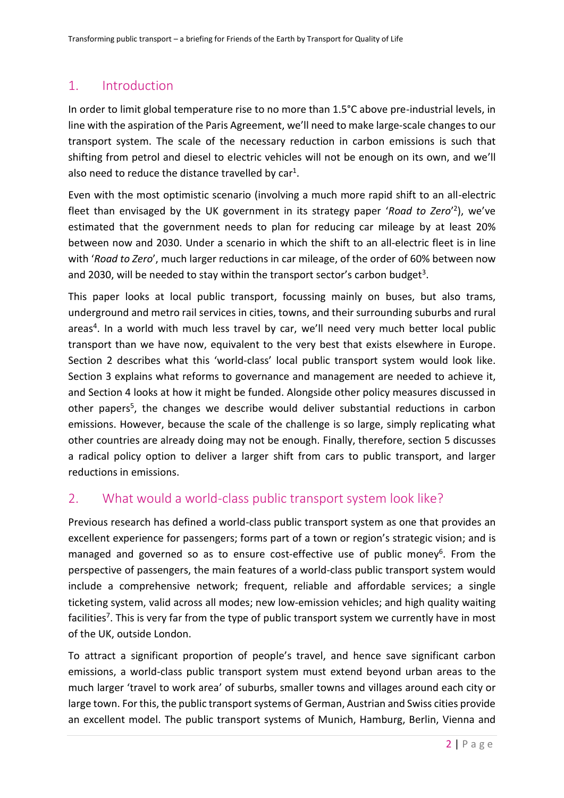# 1. Introduction

In order to limit global temperature rise to no more than 1.5°C above pre-industrial levels, in line with the aspiration of the Paris Agreement, we'll need to make large-scale changes to our transport system. The scale of the necessary reduction in carbon emissions is such that shifting from petrol and diesel to electric vehicles will not be enough on its own, and we'll also need to reduce the distance travelled by  $car<sup>1</sup>$ .

Even with the most optimistic scenario (involving a much more rapid shift to an all-electric fleet than envisaged by the UK government in its strategy paper 'Road to Zero'<sup>2</sup>), we've estimated that the government needs to plan for reducing car mileage by at least 20% between now and 2030. Under a scenario in which the shift to an all-electric fleet is in line with '*Road to Zero*', much larger reductions in car mileage, of the order of 60% between now and 2030, will be needed to stay within the transport sector's carbon budget<sup>3</sup>.

This paper looks at local public transport, focussing mainly on buses, but also trams, underground and metro rail services in cities, towns, and their surrounding suburbs and rural areas<sup>4</sup>. In a world with much less travel by car, we'll need very much better local public transport than we have now, equivalent to the very best that exists elsewhere in Europe. Section 2 describes what this 'world-class' local public transport system would look like. Section 3 explains what reforms to governance and management are needed to achieve it, and Section 4 looks at how it might be funded. Alongside other policy measures discussed in other papers<sup>5</sup>, the changes we describe would deliver substantial reductions in carbon emissions. However, because the scale of the challenge is so large, simply replicating what other countries are already doing may not be enough. Finally, therefore, section 5 discusses a radical policy option to deliver a larger shift from cars to public transport, and larger reductions in emissions.

## 2. What would a world-class public transport system look like?

Previous research has defined a world-class public transport system as one that provides an excellent experience for passengers; forms part of a town or region's strategic vision; and is managed and governed so as to ensure cost-effective use of public money<sup>6</sup>. From the perspective of passengers, the main features of a world-class public transport system would include a comprehensive network; frequent, reliable and affordable services; a single ticketing system, valid across all modes; new low-emission vehicles; and high quality waiting facilities<sup>7</sup>. This is very far from the type of public transport system we currently have in most of the UK, outside London.

To attract a significant proportion of people's travel, and hence save significant carbon emissions, a world-class public transport system must extend beyond urban areas to the much larger 'travel to work area' of suburbs, smaller towns and villages around each city or large town. For this, the public transport systems of German, Austrian and Swiss cities provide an excellent model. The public transport systems of Munich, Hamburg, Berlin, Vienna and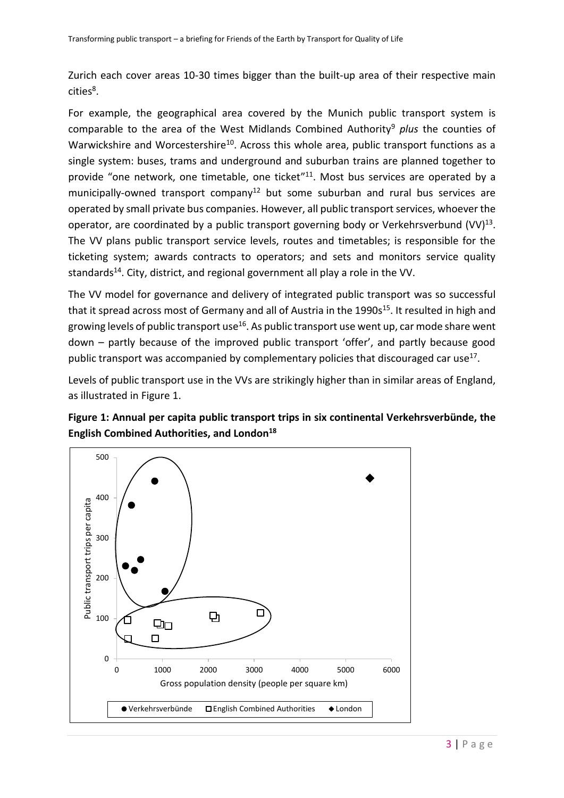Zurich each cover areas 10-30 times bigger than the built-up area of their respective main cities<sup>8</sup>.

For example, the geographical area covered by the Munich public transport system is comparable to the area of the West Midlands Combined Authority<sup>9</sup> *plus* the counties of Warwickshire and Worcestershire<sup>10</sup>. Across this whole area, public transport functions as a single system: buses, trams and underground and suburban trains are planned together to provide "one network, one timetable, one ticket"<sup>11</sup>. Most bus services are operated by a municipally-owned transport company<sup>12</sup> but some suburban and rural bus services are operated by small private bus companies. However, all public transport services, whoever the operator, are coordinated by a public transport governing body or Verkehrsverbund  $(VV)^{13}$ . The VV plans public transport service levels, routes and timetables; is responsible for the ticketing system; awards contracts to operators; and sets and monitors service quality standards<sup>14</sup>. City, district, and regional government all play a role in the VV.

The VV model for governance and delivery of integrated public transport was so successful that it spread across most of Germany and all of Austria in the 1990s<sup>15</sup>. It resulted in high and growing levels of public transport use<sup>16</sup>. As public transport use went up, car mode share went down – partly because of the improved public transport 'offer', and partly because good public transport was accompanied by complementary policies that discouraged car use<sup>17</sup>.

Levels of public transport use in the VVs are strikingly higher than in similar areas of England, as illustrated in Figure 1.



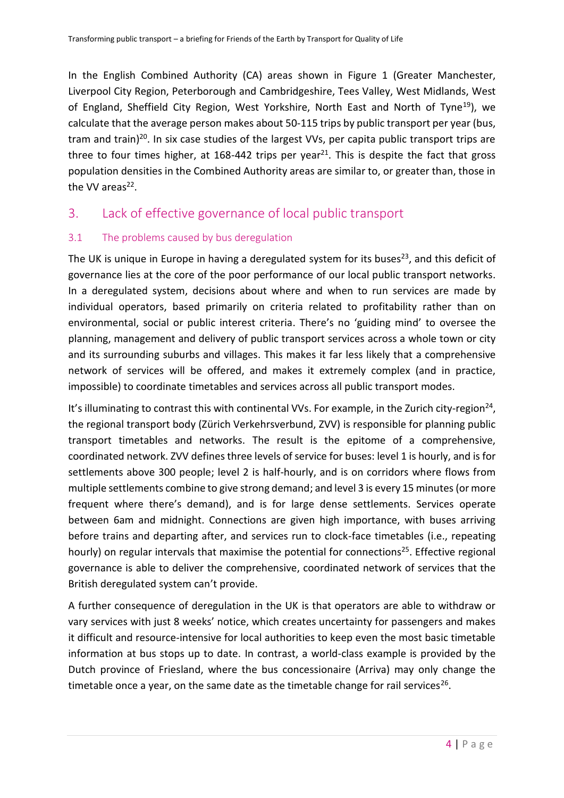In the English Combined Authority (CA) areas shown in Figure 1 (Greater Manchester, Liverpool City Region, Peterborough and Cambridgeshire, Tees Valley, West Midlands, West of England, Sheffield City Region, West Yorkshire, North East and North of Tyne<sup>19</sup>), we calculate that the average person makes about 50-115 trips by public transport per year (bus, tram and train)<sup>20</sup>. In six case studies of the largest VVs, per capita public transport trips are three to four times higher, at 168-442 trips per year<sup>21</sup>. This is despite the fact that gross population densities in the Combined Authority areas are similar to, or greater than, those in the VV areas<sup>22</sup>.

# 3. Lack of effective governance of local public transport

#### 3.1 The problems caused by bus deregulation

The UK is unique in Europe in having a deregulated system for its buses<sup>23</sup>, and this deficit of governance lies at the core of the poor performance of our local public transport networks. In a deregulated system, decisions about where and when to run services are made by individual operators, based primarily on criteria related to profitability rather than on environmental, social or public interest criteria. There's no 'guiding mind' to oversee the planning, management and delivery of public transport services across a whole town or city and its surrounding suburbs and villages. This makes it far less likely that a comprehensive network of services will be offered, and makes it extremely complex (and in practice, impossible) to coordinate timetables and services across all public transport modes.

It's illuminating to contrast this with continental VVs. For example, in the Zurich city-region<sup>24</sup>, the regional transport body (Zürich Verkehrsverbund, ZVV) is responsible for planning public transport timetables and networks. The result is the epitome of a comprehensive, coordinated network. ZVV defines three levels of service for buses: level 1 is hourly, and is for settlements above 300 people; level 2 is half-hourly, and is on corridors where flows from multiple settlements combine to give strong demand; and level 3 is every 15 minutes (or more frequent where there's demand), and is for large dense settlements. Services operate between 6am and midnight. Connections are given high importance, with buses arriving before trains and departing after, and services run to clock-face timetables (i.e., repeating hourly) on regular intervals that maximise the potential for connections<sup>25</sup>. Effective regional governance is able to deliver the comprehensive, coordinated network of services that the British deregulated system can't provide.

A further consequence of deregulation in the UK is that operators are able to withdraw or vary services with just 8 weeks' notice, which creates uncertainty for passengers and makes it difficult and resource-intensive for local authorities to keep even the most basic timetable information at bus stops up to date. In contrast, a world-class example is provided by the Dutch province of Friesland, where the bus concessionaire (Arriva) may only change the timetable once a year, on the same date as the timetable change for rail services<sup>26</sup>.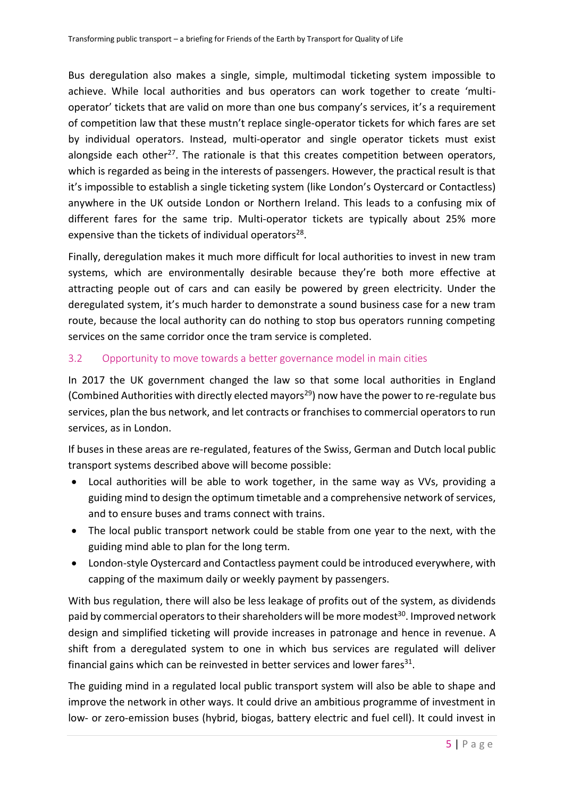Bus deregulation also makes a single, simple, multimodal ticketing system impossible to achieve. While local authorities and bus operators can work together to create 'multioperator' tickets that are valid on more than one bus company's services, it's a requirement of competition law that these mustn't replace single-operator tickets for which fares are set by individual operators. Instead, multi-operator and single operator tickets must exist alongside each other<sup>27</sup>. The rationale is that this creates competition between operators, which is regarded as being in the interests of passengers. However, the practical result is that it's impossible to establish a single ticketing system (like London's Oystercard or Contactless) anywhere in the UK outside London or Northern Ireland. This leads to a confusing mix of different fares for the same trip. Multi-operator tickets are typically about 25% more expensive than the tickets of individual operators<sup>28</sup>.

Finally, deregulation makes it much more difficult for local authorities to invest in new tram systems, which are environmentally desirable because they're both more effective at attracting people out of cars and can easily be powered by green electricity. Under the deregulated system, it's much harder to demonstrate a sound business case for a new tram route, because the local authority can do nothing to stop bus operators running competing services on the same corridor once the tram service is completed.

#### 3.2 Opportunity to move towards a better governance model in main cities

In 2017 the UK government changed the law so that some local authorities in England (Combined Authorities with directly elected mayors<sup>29</sup>) now have the power to re-regulate bus services, plan the bus network, and let contracts or franchises to commercial operators to run services, as in London.

If buses in these areas are re-regulated, features of the Swiss, German and Dutch local public transport systems described above will become possible:

- Local authorities will be able to work together, in the same way as VVs, providing a guiding mind to design the optimum timetable and a comprehensive network of services, and to ensure buses and trams connect with trains.
- The local public transport network could be stable from one year to the next, with the guiding mind able to plan for the long term.
- London-style Oystercard and Contactless payment could be introduced everywhere, with capping of the maximum daily or weekly payment by passengers.

With bus regulation, there will also be less leakage of profits out of the system, as dividends paid by commercial operators to their shareholders will be more modest<sup>30</sup>. Improved network design and simplified ticketing will provide increases in patronage and hence in revenue. A shift from a deregulated system to one in which bus services are regulated will deliver financial gains which can be reinvested in better services and lower fares $^{31}$ .

The guiding mind in a regulated local public transport system will also be able to shape and improve the network in other ways. It could drive an ambitious programme of investment in low- or zero-emission buses (hybrid, biogas, battery electric and fuel cell). It could invest in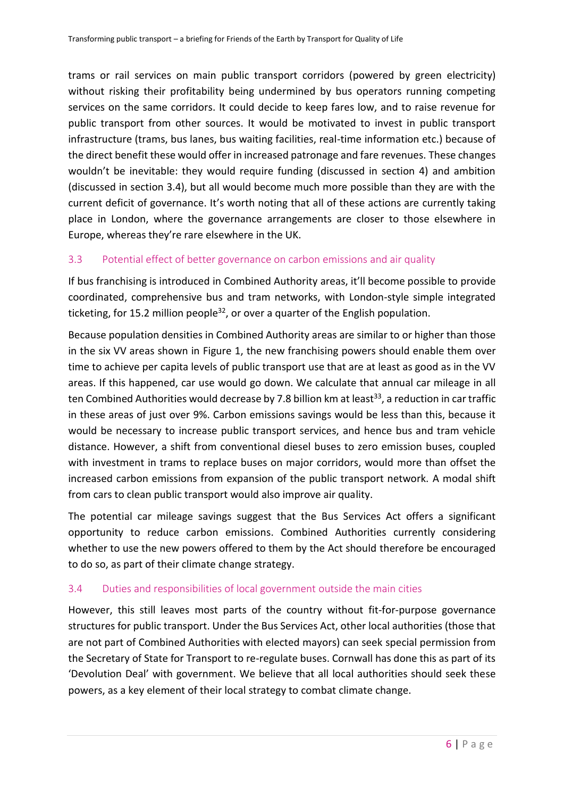trams or rail services on main public transport corridors (powered by green electricity) without risking their profitability being undermined by bus operators running competing services on the same corridors. It could decide to keep fares low, and to raise revenue for public transport from other sources. It would be motivated to invest in public transport infrastructure (trams, bus lanes, bus waiting facilities, real-time information etc.) because of the direct benefit these would offer in increased patronage and fare revenues. These changes wouldn't be inevitable: they would require funding (discussed in section 4) and ambition (discussed in section 3.4), but all would become much more possible than they are with the current deficit of governance. It's worth noting that all of these actions are currently taking place in London, where the governance arrangements are closer to those elsewhere in Europe, whereas they're rare elsewhere in the UK.

#### 3.3 Potential effect of better governance on carbon emissions and air quality

If bus franchising is introduced in Combined Authority areas, it'll become possible to provide coordinated, comprehensive bus and tram networks, with London-style simple integrated ticketing, for 15.2 million people<sup>32</sup>, or over a quarter of the English population.

Because population densities in Combined Authority areas are similar to or higher than those in the six VV areas shown in Figure 1, the new franchising powers should enable them over time to achieve per capita levels of public transport use that are at least as good as in the VV areas. If this happened, car use would go down. We calculate that annual car mileage in all ten Combined Authorities would decrease by 7.8 billion km at least<sup>33</sup>, a reduction in car traffic in these areas of just over 9%. Carbon emissions savings would be less than this, because it would be necessary to increase public transport services, and hence bus and tram vehicle distance. However, a shift from conventional diesel buses to zero emission buses, coupled with investment in trams to replace buses on major corridors, would more than offset the increased carbon emissions from expansion of the public transport network. A modal shift from cars to clean public transport would also improve air quality.

The potential car mileage savings suggest that the Bus Services Act offers a significant opportunity to reduce carbon emissions. Combined Authorities currently considering whether to use the new powers offered to them by the Act should therefore be encouraged to do so, as part of their climate change strategy.

#### 3.4 Duties and responsibilities of local government outside the main cities

However, this still leaves most parts of the country without fit-for-purpose governance structures for public transport. Under the Bus Services Act, other local authorities (those that are not part of Combined Authorities with elected mayors) can seek special permission from the Secretary of State for Transport to re-regulate buses. Cornwall has done this as part of its 'Devolution Deal' with government. We believe that all local authorities should seek these powers, as a key element of their local strategy to combat climate change.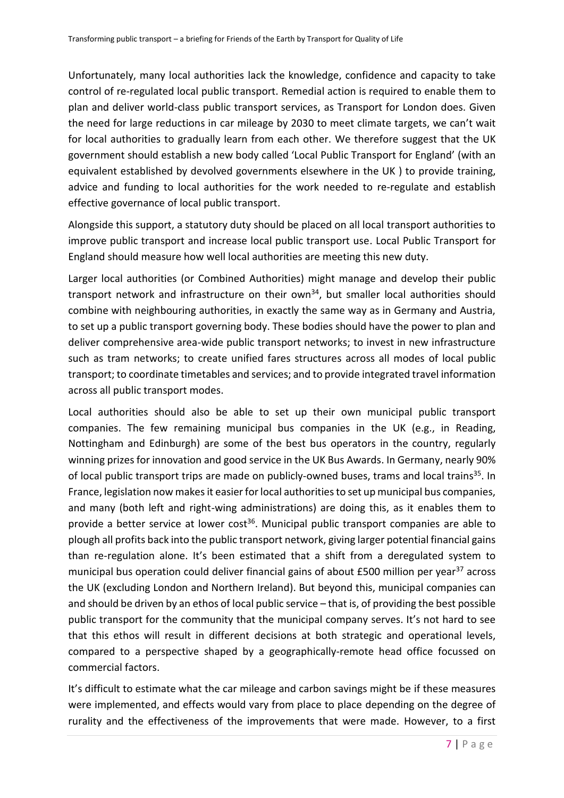Unfortunately, many local authorities lack the knowledge, confidence and capacity to take control of re-regulated local public transport. Remedial action is required to enable them to plan and deliver world-class public transport services, as Transport for London does. Given the need for large reductions in car mileage by 2030 to meet climate targets, we can't wait for local authorities to gradually learn from each other. We therefore suggest that the UK government should establish a new body called 'Local Public Transport for England' (with an equivalent established by devolved governments elsewhere in the UK ) to provide training, advice and funding to local authorities for the work needed to re-regulate and establish effective governance of local public transport.

Alongside this support, a statutory duty should be placed on all local transport authorities to improve public transport and increase local public transport use. Local Public Transport for England should measure how well local authorities are meeting this new duty.

Larger local authorities (or Combined Authorities) might manage and develop their public transport network and infrastructure on their own<sup>34</sup>, but smaller local authorities should combine with neighbouring authorities, in exactly the same way as in Germany and Austria, to set up a public transport governing body. These bodies should have the power to plan and deliver comprehensive area-wide public transport networks; to invest in new infrastructure such as tram networks; to create unified fares structures across all modes of local public transport; to coordinate timetables and services; and to provide integrated travel information across all public transport modes.

Local authorities should also be able to set up their own municipal public transport companies. The few remaining municipal bus companies in the UK (e.g., in Reading, Nottingham and Edinburgh) are some of the best bus operators in the country, regularly winning prizes for innovation and good service in the UK Bus Awards. In Germany, nearly 90% of local public transport trips are made on publicly-owned buses, trams and local trains<sup>35</sup>. In France, legislation now makes it easier for local authorities to set up municipal bus companies, and many (both left and right-wing administrations) are doing this, as it enables them to provide a better service at lower cost<sup>36</sup>. Municipal public transport companies are able to plough all profits back into the public transport network, giving larger potential financial gains than re-regulation alone. It's been estimated that a shift from a deregulated system to municipal bus operation could deliver financial gains of about £500 million per year<sup>37</sup> across the UK (excluding London and Northern Ireland). But beyond this, municipal companies can and should be driven by an ethos of local public service – that is, of providing the best possible public transport for the community that the municipal company serves. It's not hard to see that this ethos will result in different decisions at both strategic and operational levels, compared to a perspective shaped by a geographically-remote head office focussed on commercial factors.

It's difficult to estimate what the car mileage and carbon savings might be if these measures were implemented, and effects would vary from place to place depending on the degree of rurality and the effectiveness of the improvements that were made. However, to a first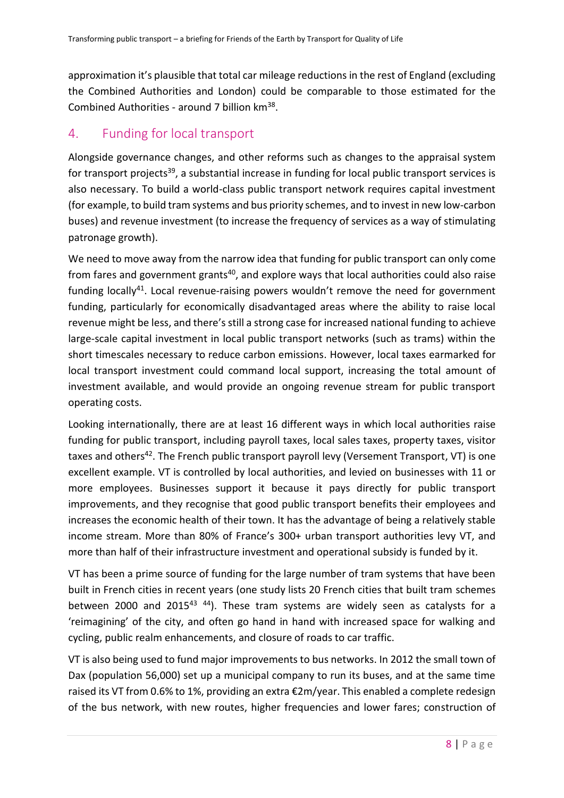approximation it's plausible that total car mileage reductions in the rest of England (excluding the Combined Authorities and London) could be comparable to those estimated for the Combined Authorities - around 7 billion km<sup>38</sup>.

# 4. Funding for local transport

Alongside governance changes, and other reforms such as changes to the appraisal system for transport projects<sup>39</sup>, a substantial increase in funding for local public transport services is also necessary. To build a world-class public transport network requires capital investment (for example, to build tram systems and bus priority schemes, and to invest in new low-carbon buses) and revenue investment (to increase the frequency of services as a way of stimulating patronage growth).

We need to move away from the narrow idea that funding for public transport can only come from fares and government grants<sup>40</sup>, and explore ways that local authorities could also raise funding locally<sup>41</sup>. Local revenue-raising powers wouldn't remove the need for government funding, particularly for economically disadvantaged areas where the ability to raise local revenue might be less, and there's still a strong case for increased national funding to achieve large-scale capital investment in local public transport networks (such as trams) within the short timescales necessary to reduce carbon emissions. However, local taxes earmarked for local transport investment could command local support, increasing the total amount of investment available, and would provide an ongoing revenue stream for public transport operating costs.

Looking internationally, there are at least 16 different ways in which local authorities raise funding for public transport, including payroll taxes, local sales taxes, property taxes, visitor taxes and others<sup>42</sup>. The French public transport payroll levy (Versement Transport, VT) is one excellent example. VT is controlled by local authorities, and levied on businesses with 11 or more employees. Businesses support it because it pays directly for public transport improvements, and they recognise that good public transport benefits their employees and increases the economic health of their town. It has the advantage of being a relatively stable income stream. More than 80% of France's 300+ urban transport authorities levy VT, and more than half of their infrastructure investment and operational subsidy is funded by it.

VT has been a prime source of funding for the large number of tram systems that have been built in French cities in recent years (one study lists 20 French cities that built tram schemes between 2000 and 2015<sup>43 44</sup>). These tram systems are widely seen as catalysts for a 'reimagining' of the city, and often go hand in hand with increased space for walking and cycling, public realm enhancements, and closure of roads to car traffic.

VT is also being used to fund major improvements to bus networks. In 2012 the small town of Dax (population 56,000) set up a municipal company to run its buses, and at the same time raised its VT from 0.6% to 1%, providing an extra €2m/year. This enabled a complete redesign of the bus network, with new routes, higher frequencies and lower fares; construction of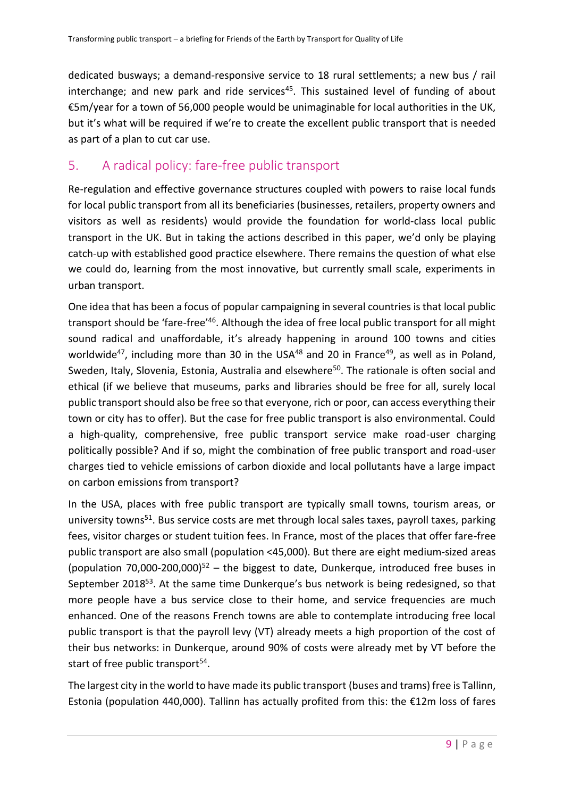dedicated busways; a demand-responsive service to 18 rural settlements; a new bus / rail interchange; and new park and ride services<sup>45</sup>. This sustained level of funding of about €5m/year for a town of 56,000 people would be unimaginable for local authorities in the UK, but it's what will be required if we're to create the excellent public transport that is needed as part of a plan to cut car use.

# 5. A radical policy: fare-free public transport

Re-regulation and effective governance structures coupled with powers to raise local funds for local public transport from all its beneficiaries (businesses, retailers, property owners and visitors as well as residents) would provide the foundation for world-class local public transport in the UK. But in taking the actions described in this paper, we'd only be playing catch-up with established good practice elsewhere. There remains the question of what else we could do, learning from the most innovative, but currently small scale, experiments in urban transport.

One idea that has been a focus of popular campaigning in several countries is that local public transport should be 'fare-free'<sup>46</sup>. Although the idea of free local public transport for all might sound radical and unaffordable, it's already happening in around 100 towns and cities worldwide<sup>47</sup>, including more than 30 in the USA<sup>48</sup> and 20 in France<sup>49</sup>, as well as in Poland, Sweden, Italy, Slovenia, Estonia, Australia and elsewhere<sup>50</sup>. The rationale is often social and ethical (if we believe that museums, parks and libraries should be free for all, surely local public transport should also be free so that everyone, rich or poor, can access everything their town or city has to offer). But the case for free public transport is also environmental. Could a high-quality, comprehensive, free public transport service make road-user charging politically possible? And if so, might the combination of free public transport and road-user charges tied to vehicle emissions of carbon dioxide and local pollutants have a large impact on carbon emissions from transport?

In the USA, places with free public transport are typically small towns, tourism areas, or university towns<sup>51</sup>. Bus service costs are met through local sales taxes, payroll taxes, parking fees, visitor charges or student tuition fees. In France, most of the places that offer fare-free public transport are also small (population <45,000). But there are eight medium-sized areas (population 70,000-200,000)<sup>52</sup> – the biggest to date, Dunkerque, introduced free buses in September 2018<sup>53</sup>. At the same time Dunkerque's bus network is being redesigned, so that more people have a bus service close to their home, and service frequencies are much enhanced. One of the reasons French towns are able to contemplate introducing free local public transport is that the payroll levy (VT) already meets a high proportion of the cost of their bus networks: in Dunkerque, around 90% of costs were already met by VT before the start of free public transport<sup>54</sup>.

The largest city in the world to have made its public transport (buses and trams) free is Tallinn, Estonia (population 440,000). Tallinn has actually profited from this: the €12m loss of fares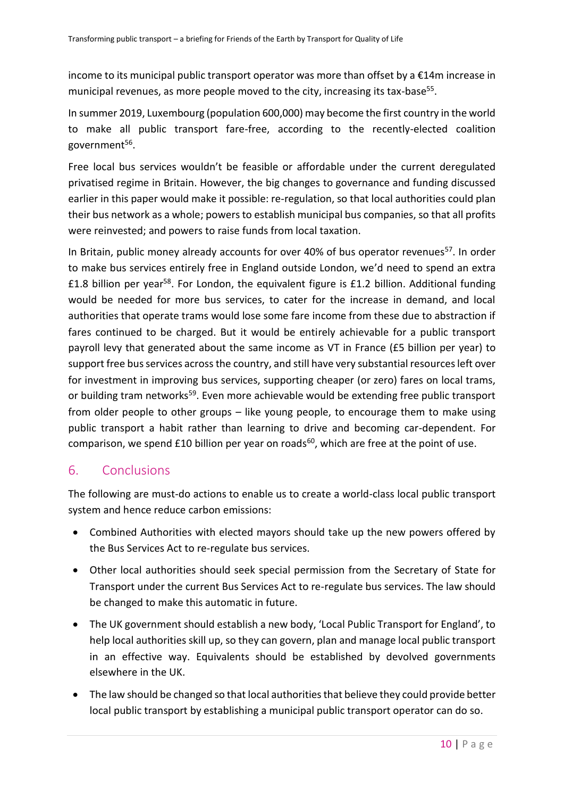income to its municipal public transport operator was more than offset by a  $\epsilon$ 14m increase in municipal revenues, as more people moved to the city, increasing its tax-base<sup>55</sup>.

In summer 2019, Luxembourg (population 600,000) may become the first country in the world to make all public transport fare-free, according to the recently-elected coalition government<sup>56</sup>.

Free local bus services wouldn't be feasible or affordable under the current deregulated privatised regime in Britain. However, the big changes to governance and funding discussed earlier in this paper would make it possible: re-regulation, so that local authorities could plan their bus network as a whole; powers to establish municipal bus companies, so that all profits were reinvested; and powers to raise funds from local taxation.

In Britain, public money already accounts for over 40% of bus operator revenues<sup>57</sup>. In order to make bus services entirely free in England outside London, we'd need to spend an extra £1.8 billion per year<sup>58</sup>. For London, the equivalent figure is £1.2 billion. Additional funding would be needed for more bus services, to cater for the increase in demand, and local authorities that operate trams would lose some fare income from these due to abstraction if fares continued to be charged. But it would be entirely achievable for a public transport payroll levy that generated about the same income as VT in France (£5 billion per year) to support free bus services across the country, and still have very substantial resources left over for investment in improving bus services, supporting cheaper (or zero) fares on local trams, or building tram networks<sup>59</sup>. Even more achievable would be extending free public transport from older people to other groups – like young people, to encourage them to make using public transport a habit rather than learning to drive and becoming car-dependent. For comparison, we spend £10 billion per year on roads<sup>60</sup>, which are free at the point of use.

## 6. Conclusions

The following are must-do actions to enable us to create a world-class local public transport system and hence reduce carbon emissions:

- Combined Authorities with elected mayors should take up the new powers offered by the Bus Services Act to re-regulate bus services.
- Other local authorities should seek special permission from the Secretary of State for Transport under the current Bus Services Act to re-regulate bus services. The law should be changed to make this automatic in future.
- The UK government should establish a new body, 'Local Public Transport for England', to help local authorities skill up, so they can govern, plan and manage local public transport in an effective way. Equivalents should be established by devolved governments elsewhere in the UK.
- The law should be changed so that local authorities that believe they could provide better local public transport by establishing a municipal public transport operator can do so.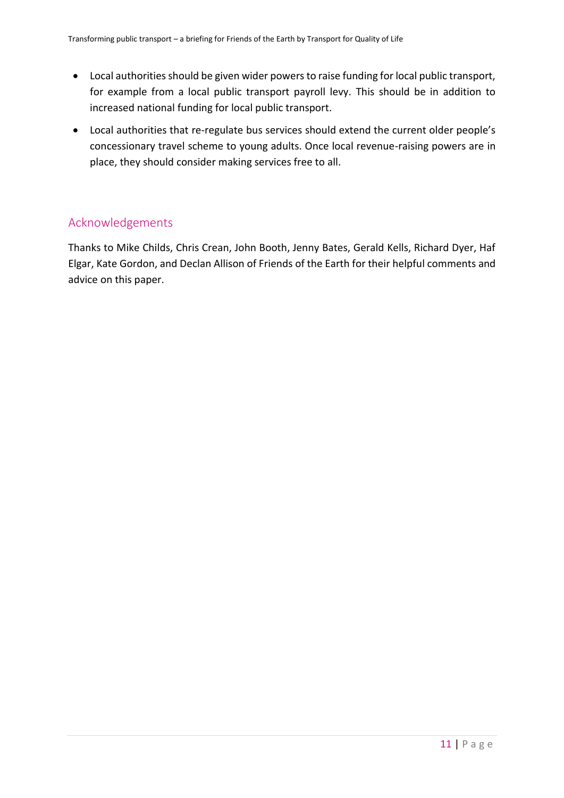- Local authorities should be given wider powers to raise funding for local public transport, for example from a local public transport payroll levy. This should be in addition to increased national funding for local public transport.
- Local authorities that re-regulate bus services should extend the current older people's concessionary travel scheme to young adults. Once local revenue-raising powers are in place, they should consider making services free to all.

#### Acknowledgements

Thanks to Mike Childs, Chris Crean, John Booth, Jenny Bates, Gerald Kells, Richard Dyer, Haf Elgar, Kate Gordon, and Declan Allison of Friends of the Earth for their helpful comments and advice on this paper.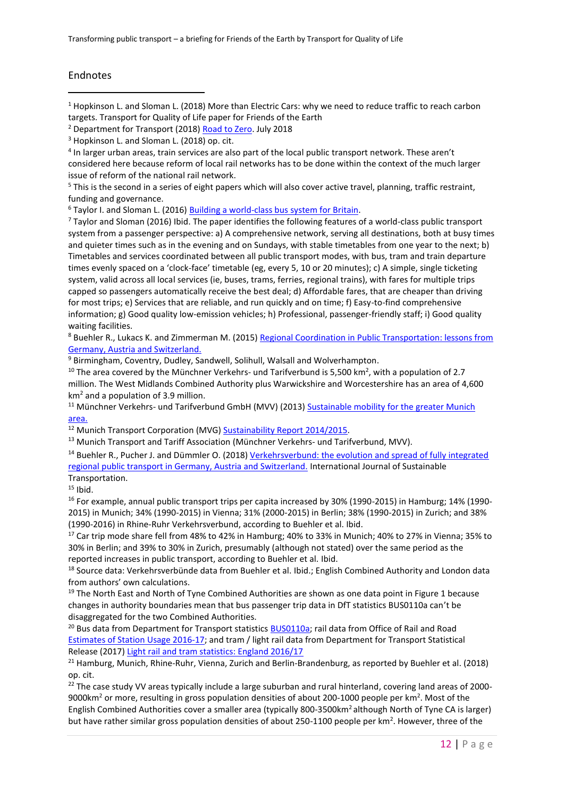#### Endnotes

<u>.</u>

<sup>4</sup> In larger urban areas, train services are also part of the local public transport network. These aren't considered here because reform of local rail networks has to be done within the context of the much larger issue of reform of the national rail network.

<sup>5</sup> This is the second in a series of eight papers which will also cover active travel, planning, traffic restraint, funding and governance.

<sup>6</sup> Taylor I. and Sloman L. (2016) [Building a world-class bus system for Britain.](http://www.transportforqualityoflife.com/policyresearch/publictransport/)

<sup>7</sup> Taylor and Sloman (2016) Ibid. The paper identifies the following features of a world-class public transport system from a passenger perspective: a) A comprehensive network, serving all destinations, both at busy times and quieter times such as in the evening and on Sundays, with stable timetables from one year to the next; b) Timetables and services coordinated between all public transport modes, with bus, tram and train departure times evenly spaced on a 'clock-face' timetable (eg, every 5, 10 or 20 minutes); c) A simple, single ticketing system, valid across all local services (ie, buses, trams, ferries, regional trains), with fares for multiple trips capped so passengers automatically receive the best deal; d) Affordable fares, that are cheaper than driving for most trips; e) Services that are reliable, and run quickly and on time; f) Easy-to-find comprehensive information; g) Good quality low-emission vehicles; h) Professional, passenger-friendly staff; i) Good quality waiting facilities.

<sup>8</sup> Buehler R., Lukacs K. and Zimmerman M. (2015[\) Regional Coordination in Public Transportation: lessons from](http://www.mautc.psu.edu/docs/VT-2013-04.pdf)  [Germany, Austria and Switzerland.](http://www.mautc.psu.edu/docs/VT-2013-04.pdf)

<sup>9</sup> Birmingham, Coventry, Dudley, Sandwell, Solihull, Walsall and Wolverhampton.

<sup>10</sup> The area covered by the Münchner Verkehrs- und Tarifverbund is 5,500 km<sup>2</sup>, with a population of 2.7 million. The West Midlands Combined Authority plus Warwickshire and Worcestershire has an area of 4,600  $km<sup>2</sup>$  and a population of 3.9 million.

<sup>11</sup> Münchner Verkehrs- und Tarifverbund GmbH (MVV) (2013) Sustainable mobility for the greater Munich [area.](https://www.mvv-muenchen.de/fileadmin/mediapool/07-Ueber_den_MVV/02-Dokumente/Infofolder_MVV_160513_en.pdf)

<sup>12</sup> Munich Transport Corporation (MVG) **Sustainability Report 2014/2015**.

<sup>13</sup> Munich Transport and Tariff Association (Münchner Verkehrs- und Tarifverbund, MVV).

<sup>14</sup> Buehler R., Pucher J. and Dümmler O. (2018) [Verkehrsverbund: the evolution and spread of fully integrated](doi:%2010.1080/15568318.2018.1431821)  [regional public transport in Germany, Austria and Switzerland.](doi:%2010.1080/15568318.2018.1431821) International Journal of Sustainable Transportation.

 $15$  Ibid.

<sup>16</sup> For example, annual public transport trips per capita increased by 30% (1990-2015) in Hamburg; 14% (1990-2015) in Munich; 34% (1990-2015) in Vienna; 31% (2000-2015) in Berlin; 38% (1990-2015) in Zurich; and 38% (1990-2016) in Rhine-Ruhr Verkehrsverbund, according to Buehler et al. Ibid.

<sup>17</sup> Car trip mode share fell from 48% to 42% in Hamburg; 40% to 33% in Munich; 40% to 27% in Vienna; 35% to 30% in Berlin; and 39% to 30% in Zurich, presumably (although not stated) over the same period as the reported increases in public transport, according to Buehler et al. Ibid.

<sup>18</sup> Source data: Verkehrsverbünde data from Buehler et al. Ibid.: English Combined Authority and London data from authors' own calculations.

 $19$  The North East and North of Tyne Combined Authorities are shown as one data point in Figure 1 because changes in authority boundaries mean that bus passenger trip data in DfT statistics BUS0110a can't be disaggregated for the two Combined Authorities.

<sup>20</sup> Bus data from Department for Transport statistic[s BUS0110a;](https://www.gov.uk/government/statistical-data-sets/bus01-local-bus-passenger-journeys) rail data from Office of Rail and Road [Estimates of Station Usage 2016-17;](http://www.orr.gov.uk/statistics/published-stats/station-usage-estimates) and tram / light rail data from Department for Transport Statistical Release (2017) [Light rail and tram statistics: England 2016/17](https://assets.publishing.service.gov.uk/government/uploads/system/uploads/attachment_data/file/623366/light-rail-tram-ending-march-2017.pdf)

<sup>21</sup> Hamburg, Munich, Rhine-Ruhr, Vienna, Zurich and Berlin-Brandenburg, as reported by Buehler et al. (2018) op. cit.

 $22$  The case study VV areas typically include a large suburban and rural hinterland, covering land areas of 2000-9000km<sup>2</sup> or more, resulting in gross population densities of about 200-1000 people per km<sup>2</sup>. Most of the English Combined Authorities cover a smaller area (typically 800-3500km<sup>2</sup> although North of Tyne CA is larger) but have rather similar gross population densities of about 250-1100 people per km<sup>2</sup>. However, three of the

<sup>1</sup> Hopkinson L. and Sloman L. (2018) More than Electric Cars: why we need to reduce traffic to reach carbon targets. Transport for Quality of Life paper for Friends of the Earth

<sup>&</sup>lt;sup>2</sup> Department for Transport (2018) [Road to Zero.](https://www.gov.uk/government/news/government-launches-road-to-zero-strategy-to-lead-the-world-in-zero-emission-vehicle-technology) July 2018

<sup>&</sup>lt;sup>3</sup> Hopkinson L. and Sloman L. (2018) op. cit.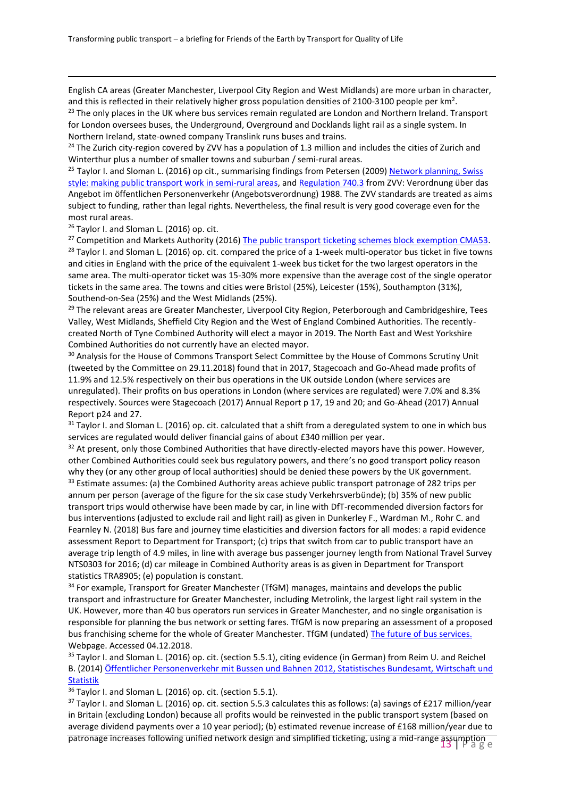English CA areas (Greater Manchester, Liverpool City Region and West Midlands) are more urban in character, and this is reflected in their relatively higher gross population densities of 2100-3100 people per km<sup>2</sup>.

<sup>23</sup> The only places in the UK where bus services remain regulated are London and Northern Ireland. Transport for London oversees buses, the Underground, Overground and Docklands light rail as a single system. In Northern Ireland, state-owned company Translink runs buses and trains.

<sup>24</sup> The Zurich city-region covered by ZVV has a population of 1.3 million and includes the cities of Zurich and Winterthur plus a number of smaller towns and suburban / semi-rural areas.

<sup>25</sup> Taylor I. and Sloman L. (2016) op cit., summarising findings from Petersen (2009) Network planning, Swiss [style: making public transport work in semi-rural areas,](http://atrf.info/papers/2009/2009_petersen.pdf) an[d Regulation 740.3](http://www.zvv.ch/zvvassets/ueber-uns/gesetze/740.3.pdf) from ZVV: Verordnung über das Angebot im öffentlichen Personenverkehr (Angebotsverordnung) 1988. The ZVV standards are treated as aims subject to funding, rather than legal rights. Nevertheless, the final result is very good coverage even for the most rural areas.

<sup>26</sup> Taylor I. and Sloman L. (2016) op. cit.

<u>.</u>

<sup>27</sup> Competition and Markets Authority (2016[\) The public transport ticketing schemes block exemption CMA53.](https://assets.publishing.service.gov.uk/government/uploads/system/uploads/attachment_data/file/553470/cma53-public-transport-ticketing-schemes-block-exemption-guidance.pdf) <sup>28</sup> Taylor I. and Sloman L. (2016) op. cit. compared the price of a 1-week multi-operator bus ticket in five towns and cities in England with the price of the equivalent 1-week bus ticket for the two largest operators in the same area. The multi-operator ticket was 15-30% more expensive than the average cost of the single operator tickets in the same area. The towns and cities were Bristol (25%), Leicester (15%), Southampton (31%), Southend-on-Sea (25%) and the West Midlands (25%).

<sup>29</sup> The relevant areas are Greater Manchester, Liverpool City Region, Peterborough and Cambridgeshire, Tees Valley, West Midlands, Sheffield City Region and the West of England Combined Authorities. The recentlycreated North of Tyne Combined Authority will elect a mayor in 2019. The North East and West Yorkshire Combined Authorities do not currently have an elected mayor.

<sup>30</sup> Analysis for the House of Commons Transport Select Committee by the House of Commons Scrutiny Unit (tweeted by the Committee on 29.11.2018) found that in 2017, Stagecoach and Go-Ahead made profits of 11.9% and 12.5% respectively on their bus operations in the UK outside London (where services are unregulated). Their profits on bus operations in London (where services are regulated) were 7.0% and 8.3% respectively. Sources were Stagecoach (2017) Annual Report p 17, 19 and 20; and Go-Ahead (2017) Annual Report p24 and 27.

 $31$  Taylor I. and Sloman L. (2016) op. cit. calculated that a shift from a deregulated system to one in which bus services are regulated would deliver financial gains of about £340 million per year.

<sup>32</sup> At present, only those Combined Authorities that have directly-elected mayors have this power. However, other Combined Authorities could seek bus regulatory powers, and there's no good transport policy reason why they (or any other group of local authorities) should be denied these powers by the UK government. <sup>33</sup> Estimate assumes: (a) the Combined Authority areas achieve public transport patronage of 282 trips per annum per person (average of the figure for the six case study Verkehrsverbünde); (b) 35% of new public transport trips would otherwise have been made by car, in line with DfT-recommended diversion factors for bus interventions (adjusted to exclude rail and light rail) as given in Dunkerley F., Wardman M., Rohr C. and Fearnley N. (2018) Bus fare and journey time elasticities and diversion factors for all modes: a rapid evidence assessment Report to Department for Transport; (c) trips that switch from car to public transport have an average trip length of 4.9 miles, in line with average bus passenger journey length from National Travel Survey NTS0303 for 2016; (d) car mileage in Combined Authority areas is as given in Department for Transport statistics TRA8905; (e) population is constant.

<sup>34</sup> For example, Transport for Greater Manchester (TfGM) manages, maintains and develops the public transport and infrastructure for Greater Manchester, including Metrolink, the largest light rail system in the UK. However, more than 40 bus operators run services in Greater Manchester, and no single organisation is responsible for planning the bus network or setting fares. TfGM is now preparing an assessment of a proposed bus franchising scheme for the whole of Greater Manchester. TfGM (undated) [The future of bus services.](https://www.tfgm.com/future-travel/bus-reform) Webpage. Accessed 04.12.2018.

<sup>35</sup> Taylor I. and Sloman L. (2016) op. cit. (section 5.5.1), citing evidence (in German) from Reim U. and Reichel B. (2014) [Öffentlicher Personenverkehr mit Bussen und Bahnen 2012, Statistisches Bundesamt, Wirtschaft und](https://www.destatis.de/DE/Publikationen/WirtschaftStatistik/Verkehr/OeffentlicherPersonenverkehr2012_022014.html)  [Statistik](https://www.destatis.de/DE/Publikationen/WirtschaftStatistik/Verkehr/OeffentlicherPersonenverkehr2012_022014.html)

<sup>36</sup> Taylor I. and Sloman L. (2016) op. cit. (section 5.5.1).

patronage increases following unified network design and simplified ticketing, using a mid-range assumption<br>Page  $37$  Taylor I. and Sloman L. (2016) op. cit. section 5.5.3 calculates this as follows: (a) savings of £217 million/year in Britain (excluding London) because all profits would be reinvested in the public transport system (based on average dividend payments over a 10 year period); (b) estimated revenue increase of £168 million/year due to